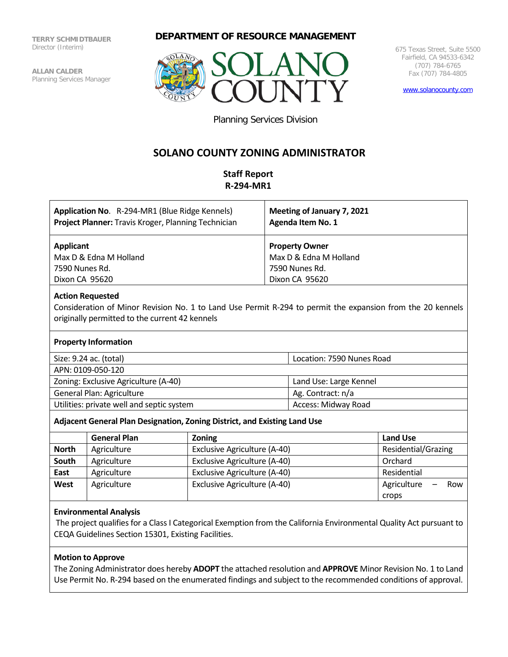**TERRY SCHMIDTBAUER** Director (Interim)

**ALLAN CALDER** Planning Services Manager

## **DEPARTMENT OF RESOURCE MANAGEMENT**



675 Texas Street, Suite 5500 Fairfield, CA 94533-6342 (707) 784-6765 Fax (707) 784-4805

[www.solanocounty.com](http://www.solanocounty.com/)

Planning Services Division

# **SOLANO COUNTY ZONING ADMINISTRATOR**

## **Staff Report R-294-MR1**

| Application No. R-294-MR1 (Blue Ridge Kennels)<br>Project Planner: Travis Kroger, Planning Technician | Meeting of January 7, 2021<br>Agenda Item No. 1 |
|-------------------------------------------------------------------------------------------------------|-------------------------------------------------|
| <b>Applicant</b>                                                                                      | <b>Property Owner</b>                           |
| Max D & Edna M Holland                                                                                | Max D & Edna M Holland                          |
| 7590 Nunes Rd.                                                                                        | 7590 Nunes Rd.                                  |
| Dixon CA 95620                                                                                        | Dixon CA 95620                                  |
|                                                                                                       |                                                 |

## **Action Requested**

Consideration of Minor Revision No. 1 to Land Use Permit R-294 to permit the expansion from the 20 kennels originally permitted to the current 42 kennels

## **Property Information**

| Size: 9.24 ac. (total)                    | Location: 7590 Nunes Road |
|-------------------------------------------|---------------------------|
| APN: 0109-050-120                         |                           |
| Zoning: Exclusive Agriculture (A-40)      | Land Use: Large Kennel    |
| General Plan: Agriculture                 | Ag. Contract: n/a         |
| Utilities: private well and septic system | Access: Midway Road       |

#### **Adjacent General Plan Designation, Zoning District, and Existing Land Use**

|              | <b>General Plan</b> | <b>Zoning</b>                | Land Use            |
|--------------|---------------------|------------------------------|---------------------|
| <b>North</b> | Agriculture         | Exclusive Agriculture (A-40) | Residential/Grazing |
| South        | Agriculture         | Exclusive Agriculture (A-40) | Orchard             |
| East         | Agriculture         | Exclusive Agriculture (A-40) | Residential         |
| West         | Agriculture         | Exclusive Agriculture (A-40) | Agriculture<br>Row  |
|              |                     |                              | crops               |

#### **Environmental Analysis**

The project qualifies for a Class I Categorical Exemption from the California Environmental Quality Act pursuant to CEQA Guidelines Section 15301, Existing Facilities.

## **Motion to Approve**

The Zoning Administrator does hereby **ADOPT** the attached resolution and **APPROVE** Minor Revision No. 1 to Land Use Permit No. R-294 based on the enumerated findings and subject to the recommended conditions of approval.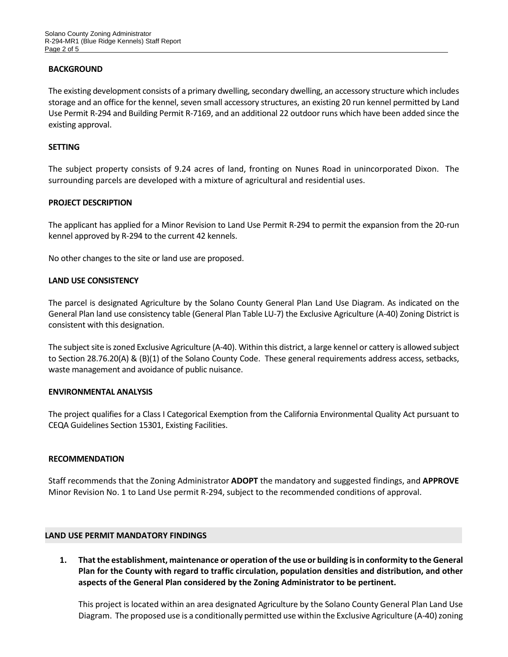## **BACKGROUND**

The existing development consists of a primary dwelling, secondary dwelling, an accessory structure which includes storage and an office for the kennel, seven small accessory structures, an existing 20 run kennel permitted by Land Use Permit R-294 and Building Permit R-7169, and an additional 22 outdoor runs which have been added since the existing approval.

#### **SETTING**

The subject property consists of 9.24 acres of land, fronting on Nunes Road in unincorporated Dixon. The surrounding parcels are developed with a mixture of agricultural and residential uses.

## **PROJECT DESCRIPTION**

The applicant has applied for a Minor Revision to Land Use Permit R-294 to permit the expansion from the 20-run kennel approved by R-294 to the current 42 kennels.

No other changes to the site or land use are proposed.

#### **LAND USE CONSISTENCY**

The parcel is designated Agriculture by the Solano County General Plan Land Use Diagram. As indicated on the General Plan land use consistency table (General Plan Table LU-7) the Exclusive Agriculture (A-40) Zoning District is consistent with this designation.

The subject site is zoned Exclusive Agriculture (A-40). Within this district, a large kennel or cattery is allowed subject to Section 28.76.20(A) & (B)(1) of the Solano County Code. These general requirements address access, setbacks, waste management and avoidance of public nuisance.

#### **ENVIRONMENTAL ANALYSIS**

The project qualifies for a Class I Categorical Exemption from the California Environmental Quality Act pursuant to CEQA Guidelines Section 15301, Existing Facilities.

#### **RECOMMENDATION**

Staff recommends that the Zoning Administrator **ADOPT** the mandatory and suggested findings, and **APPROVE** Minor Revision No. 1 to Land Use permit R-294, subject to the recommended conditions of approval.

#### **LAND USE PERMIT MANDATORY FINDINGS**

**1. That the establishment, maintenance or operation of the use or building is in conformity to the General Plan for the County with regard to traffic circulation, population densities and distribution, and other aspects of the General Plan considered by the Zoning Administrator to be pertinent.**

This project is located within an area designated Agriculture by the Solano County General Plan Land Use Diagram. The proposed use is a conditionally permitted use within the Exclusive Agriculture (A-40) zoning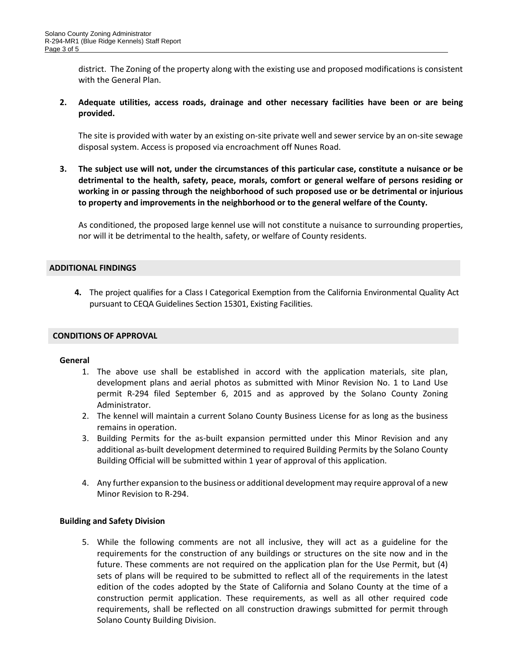district. The Zoning of the property along with the existing use and proposed modifications is consistent with the General Plan.

**2. Adequate utilities, access roads, drainage and other necessary facilities have been or are being provided.**

The site is provided with water by an existing on-site private well and sewer service by an on-site sewage disposal system. Access is proposed via encroachment off Nunes Road.

**3. The subject use will not, under the circumstances of this particular case, constitute a nuisance or be detrimental to the health, safety, peace, morals, comfort or general welfare of persons residing or working in or passing through the neighborhood of such proposed use or be detrimental or injurious to property and improvements in the neighborhood or to the general welfare of the County.**

As conditioned, the proposed large kennel use will not constitute a nuisance to surrounding properties, nor will it be detrimental to the health, safety, or welfare of County residents.

## **ADDITIONAL FINDINGS**

**4.** The project qualifies for a Class I Categorical Exemption from the California Environmental Quality Act pursuant to CEQA Guidelines Section 15301, Existing Facilities.

#### **CONDITIONS OF APPROVAL**

#### **General**

- 1. The above use shall be established in accord with the application materials, site plan, development plans and aerial photos as submitted with Minor Revision No. 1 to Land Use permit R-294 filed September 6, 2015 and as approved by the Solano County Zoning Administrator.
- 2. The kennel will maintain a current Solano County Business License for as long as the business remains in operation.
- 3. Building Permits for the as-built expansion permitted under this Minor Revision and any additional as-built development determined to required Building Permits by the Solano County Building Official will be submitted within 1 year of approval of this application.
- 4. Any further expansion to the business or additional development may require approval of a new Minor Revision to R-294.

#### **Building and Safety Division**

5. While the following comments are not all inclusive, they will act as a guideline for the requirements for the construction of any buildings or structures on the site now and in the future. These comments are not required on the application plan for the Use Permit, but (4) sets of plans will be required to be submitted to reflect all of the requirements in the latest edition of the codes adopted by the State of California and Solano County at the time of a construction permit application. These requirements, as well as all other required code requirements, shall be reflected on all construction drawings submitted for permit through Solano County Building Division.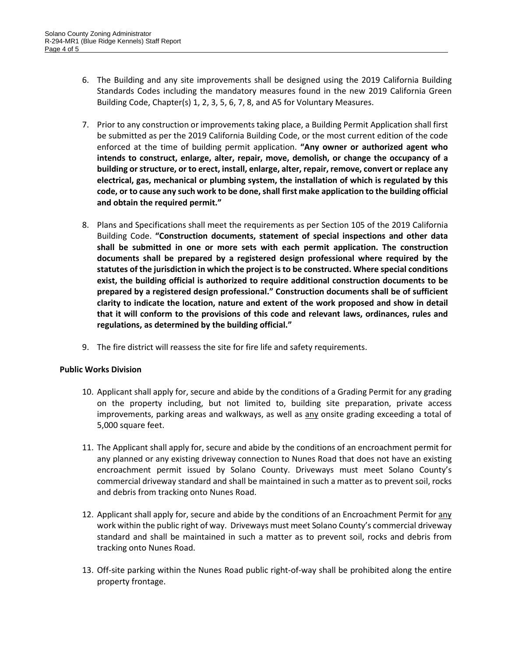- 6. The Building and any site improvements shall be designed using the 2019 California Building Standards Codes including the mandatory measures found in the new 2019 California Green Building Code, Chapter(s) 1, 2, 3, 5, 6, 7, 8, and A5 for Voluntary Measures.
- 7. Prior to any construction or improvements taking place, a Building Permit Application shall first be submitted as per the 2019 California Building Code, or the most current edition of the code enforced at the time of building permit application. **"Any owner or authorized agent who intends to construct, enlarge, alter, repair, move, demolish, or change the occupancy of a building or structure, or to erect, install, enlarge, alter, repair, remove, convert or replace any electrical, gas, mechanical or plumbing system, the installation of which is regulated by this code, or to cause any such work to be done, shall first make application to the building official and obtain the required permit."**
- 8. Plans and Specifications shall meet the requirements as per Section 105 of the 2019 California Building Code. **"Construction documents, statement of special inspections and other data shall be submitted in one or more sets with each permit application. The construction documents shall be prepared by a registered design professional where required by the statutes of the jurisdiction in which the project is to be constructed. Where special conditions exist, the building official is authorized to require additional construction documents to be prepared by a registered design professional." Construction documents shall be of sufficient clarity to indicate the location, nature and extent of the work proposed and show in detail that it will conform to the provisions of this code and relevant laws, ordinances, rules and regulations, as determined by the building official."**
- 9. The fire district will reassess the site for fire life and safety requirements.

## **Public Works Division**

- 10. Applicant shall apply for, secure and abide by the conditions of a Grading Permit for any grading on the property including, but not limited to, building site preparation, private access improvements, parking areas and walkways, as well as any onsite grading exceeding a total of 5,000 square feet.
- 11. The Applicant shall apply for, secure and abide by the conditions of an encroachment permit for any planned or any existing driveway connection to Nunes Road that does not have an existing encroachment permit issued by Solano County. Driveways must meet Solano County's commercial driveway standard and shall be maintained in such a matter as to prevent soil, rocks and debris from tracking onto Nunes Road.
- 12. Applicant shall apply for, secure and abide by the conditions of an Encroachment Permit for any work within the public right of way. Driveways must meet Solano County's commercial driveway standard and shall be maintained in such a matter as to prevent soil, rocks and debris from tracking onto Nunes Road.
- 13. Off-site parking within the Nunes Road public right-of-way shall be prohibited along the entire property frontage.